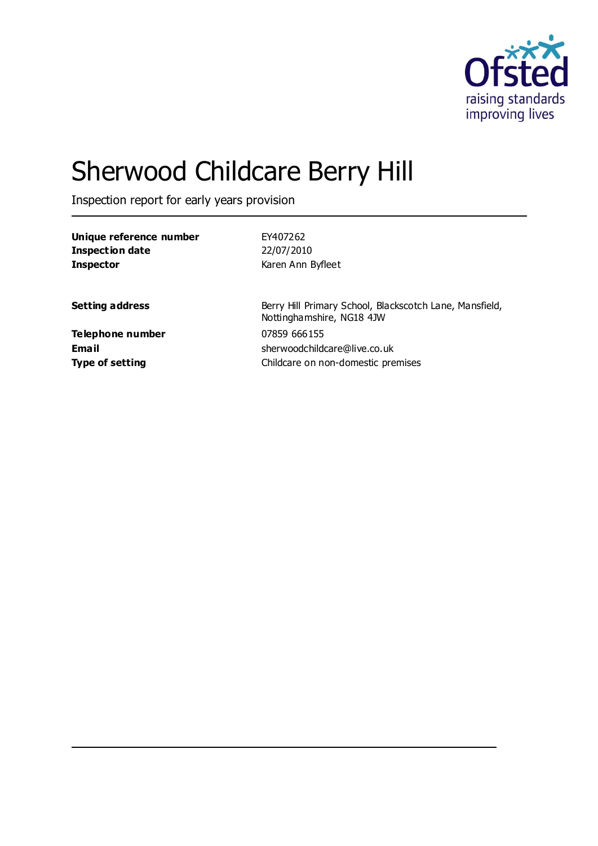

# Sherwood Childcare Berry Hill

Inspection report for early years provision

| Unique reference number | EY407262                                                                             |
|-------------------------|--------------------------------------------------------------------------------------|
| Inspection date         | 22/07/2010                                                                           |
| <b>Inspector</b>        | Karen Ann Byfleet                                                                    |
|                         |                                                                                      |
| <b>Setting address</b>  | Berry Hill Primary School, Blackscotch Lane, Mansfield,<br>Nottinghamshire, NG18 4JW |
| Telephone number        | 07859 666155                                                                         |
| Email                   | sherwoodchildcare@live.co.uk                                                         |
| <b>Type of setting</b>  | Childcare on non-domestic premises                                                   |
|                         |                                                                                      |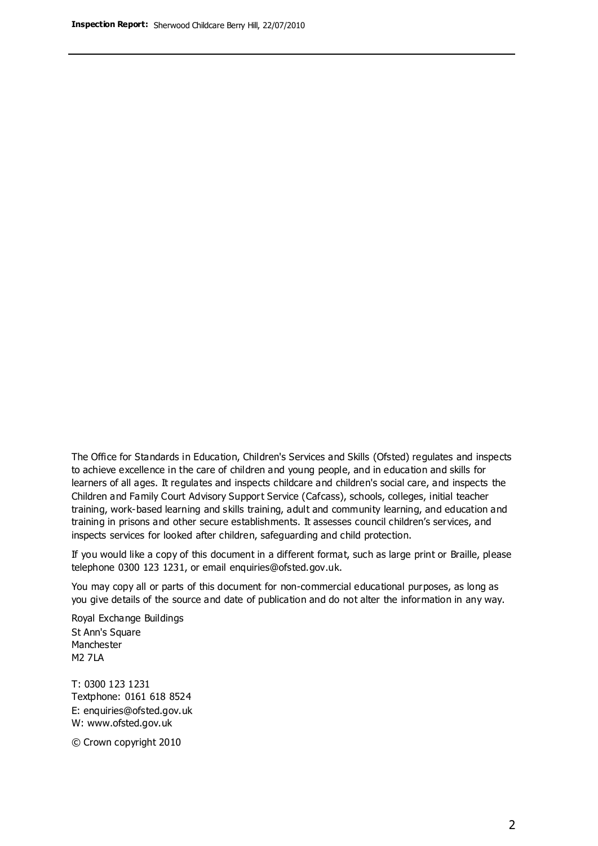The Office for Standards in Education, Children's Services and Skills (Ofsted) regulates and inspects to achieve excellence in the care of children and young people, and in education and skills for learners of all ages. It regulates and inspects childcare and children's social care, and inspects the Children and Family Court Advisory Support Service (Cafcass), schools, colleges, initial teacher training, work-based learning and skills training, adult and community learning, and education and training in prisons and other secure establishments. It assesses council children's services, and inspects services for looked after children, safeguarding and child protection.

If you would like a copy of this document in a different format, such as large print or Braille, please telephone 0300 123 1231, or email enquiries@ofsted.gov.uk.

You may copy all or parts of this document for non-commercial educational purposes, as long as you give details of the source and date of publication and do not alter the information in any way.

Royal Exchange Buildings St Ann's Square Manchester M2 7LA

T: 0300 123 1231 Textphone: 0161 618 8524 E: enquiries@ofsted.gov.uk W: [www.ofsted.gov.uk](http://www.ofsted.gov.uk/)

© Crown copyright 2010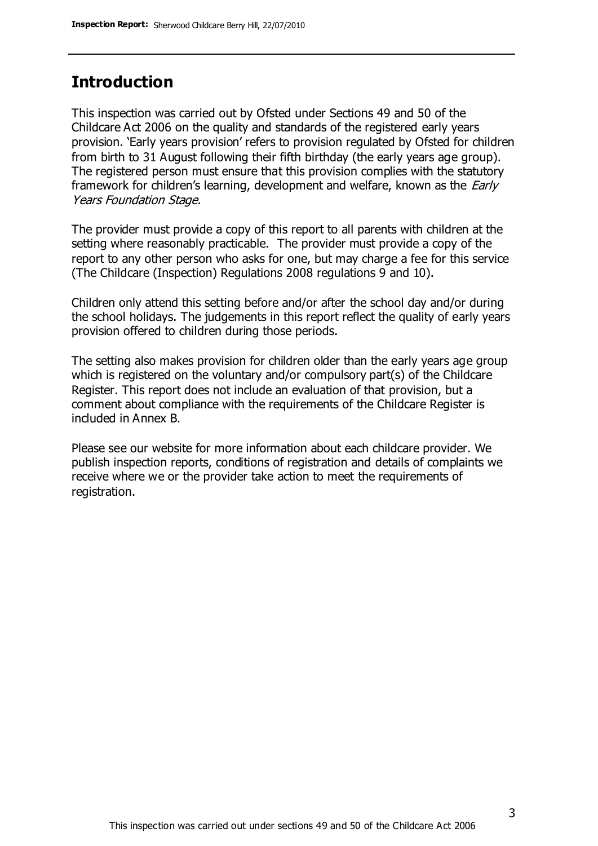## **Introduction**

This inspection was carried out by Ofsted under Sections 49 and 50 of the Childcare Act 2006 on the quality and standards of the registered early years provision. 'Early years provision' refers to provision regulated by Ofsted for children from birth to 31 August following their fifth birthday (the early years age group). The registered person must ensure that this provision complies with the statutory framework for children's learning, development and welfare, known as the *Early* Years Foundation Stage.

The provider must provide a copy of this report to all parents with children at the setting where reasonably practicable. The provider must provide a copy of the report to any other person who asks for one, but may charge a fee for this service (The Childcare (Inspection) Regulations 2008 regulations 9 and 10).

Children only attend this setting before and/or after the school day and/or during the school holidays. The judgements in this report reflect the quality of early years provision offered to children during those periods.

The setting also makes provision for children older than the early years age group which is registered on the voluntary and/or compulsory part(s) of the Childcare Register. This report does not include an evaluation of that provision, but a comment about compliance with the requirements of the Childcare Register is included in Annex B.

Please see our website for more information about each childcare provider. We publish inspection reports, conditions of registration and details of complaints we receive where we or the provider take action to meet the requirements of registration.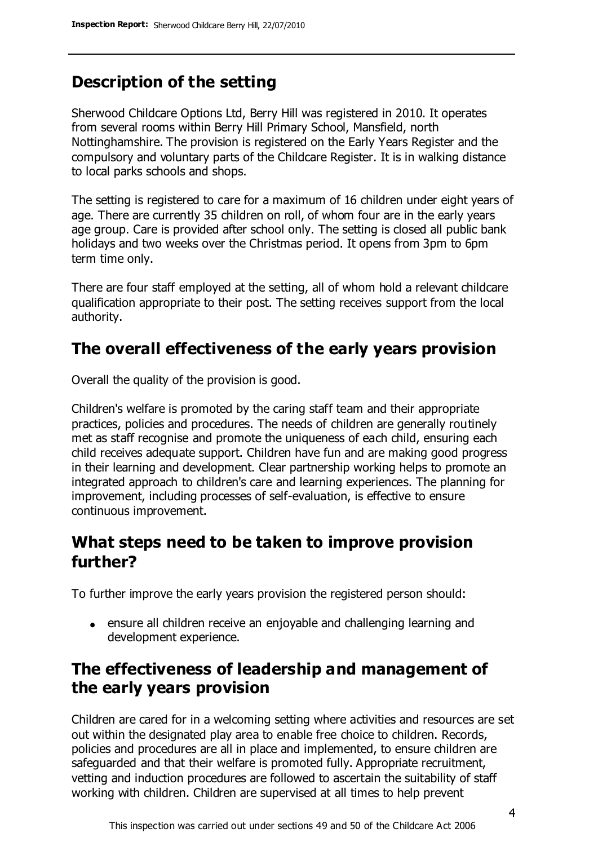# **Description of the setting**

Sherwood Childcare Options Ltd, Berry Hill was registered in 2010. It operates from several rooms within Berry Hill Primary School, Mansfield, north Nottinghamshire. The provision is registered on the Early Years Register and the compulsory and voluntary parts of the Childcare Register. It is in walking distance to local parks schools and shops.

The setting is registered to care for a maximum of 16 children under eight years of age. There are currently 35 children on roll, of whom four are in the early years age group. Care is provided after school only. The setting is closed all public bank holidays and two weeks over the Christmas period. It opens from 3pm to 6pm term time only.

There are four staff employed at the setting, all of whom hold a relevant childcare qualification appropriate to their post. The setting receives support from the local authority.

# **The overall effectiveness of the early years provision**

Overall the quality of the provision is good.

Children's welfare is promoted by the caring staff team and their appropriate practices, policies and procedures. The needs of children are generally routinely met as staff recognise and promote the uniqueness of each child, ensuring each child receives adequate support. Children have fun and are making good progress in their learning and development. Clear partnership working helps to promote an integrated approach to children's care and learning experiences. The planning for improvement, including processes of self-evaluation, is effective to ensure continuous improvement.

## **What steps need to be taken to improve provision further?**

To further improve the early years provision the registered person should:

ensure all children receive an enjoyable and challenging learning and development experience.

# **The effectiveness of leadership and management of the early years provision**

Children are cared for in a welcoming setting where activities and resources are set out within the designated play area to enable free choice to children. Records, policies and procedures are all in place and implemented, to ensure children are safeguarded and that their welfare is promoted fully. Appropriate recruitment, vetting and induction procedures are followed to ascertain the suitability of staff working with children. Children are supervised at all times to help prevent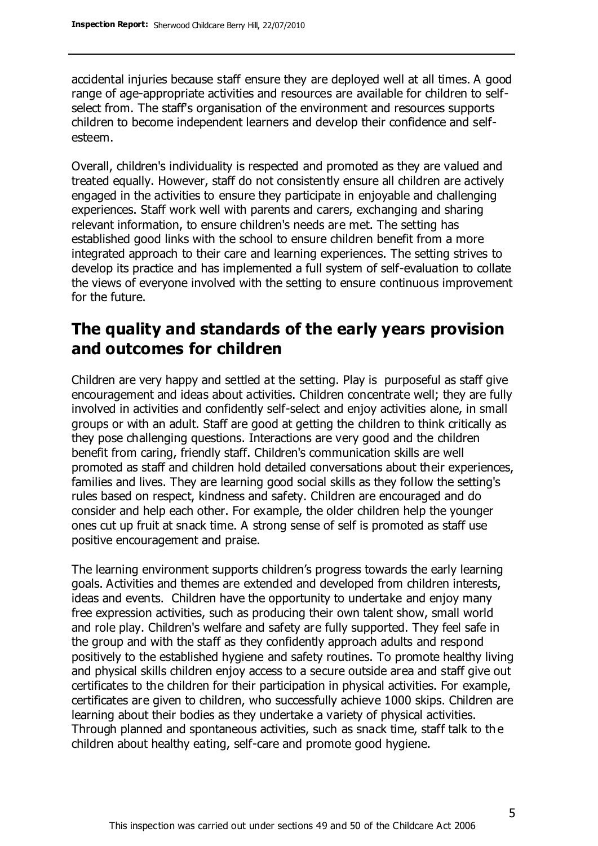accidental injuries because staff ensure they are deployed well at all times. A good range of age-appropriate activities and resources are available for children to selfselect from. The staff's organisation of the environment and resources supports children to become independent learners and develop their confidence and selfesteem.

Overall, children's individuality is respected and promoted as they are valued and treated equally. However, staff do not consistently ensure all children are actively engaged in the activities to ensure they participate in enjoyable and challenging experiences. Staff work well with parents and carers, exchanging and sharing relevant information, to ensure children's needs are met. The setting has established good links with the school to ensure children benefit from a more integrated approach to their care and learning experiences. The setting strives to develop its practice and has implemented a full system of self-evaluation to collate the views of everyone involved with the setting to ensure continuous improvement for the future.

## **The quality and standards of the early years provision and outcomes for children**

Children are very happy and settled at the setting. Play is purposeful as staff give encouragement and ideas about activities. Children concentrate well; they are fully involved in activities and confidently self-select and enjoy activities alone, in small groups or with an adult. Staff are good at getting the children to think critically as they pose challenging questions. Interactions are very good and the children benefit from caring, friendly staff. Children's communication skills are well promoted as staff and children hold detailed conversations about their experiences, families and lives. They are learning good social skills as they follow the setting's rules based on respect, kindness and safety. Children are encouraged and do consider and help each other. For example, the older children help the younger ones cut up fruit at snack time. A strong sense of self is promoted as staff use positive encouragement and praise.

The learning environment supports children's progress towards the early learning goals. Activities and themes are extended and developed from children interests, ideas and events. Children have the opportunity to undertake and enjoy many free expression activities, such as producing their own talent show, small world and role play. Children's welfare and safety are fully supported. They feel safe in the group and with the staff as they confidently approach adults and respond positively to the established hygiene and safety routines. To promote healthy living and physical skills children enjoy access to a secure outside area and staff give out certificates to the children for their participation in physical activities. For example, certificates are given to children, who successfully achieve 1000 skips. Children are learning about their bodies as they undertake a variety of physical activities. Through planned and spontaneous activities, such as snack time, staff talk to th e children about healthy eating, self-care and promote good hygiene.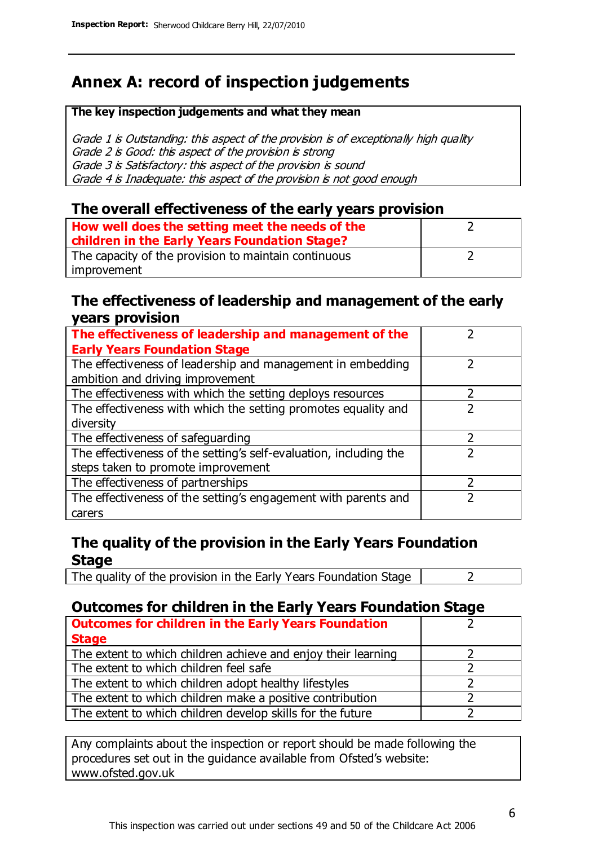# **Annex A: record of inspection judgements**

#### **The key inspection judgements and what they mean**

Grade 1 is Outstanding: this aspect of the provision is of exceptionally high quality Grade 2 is Good: this aspect of the provision is strong Grade 3 is Satisfactory: this aspect of the provision is sound Grade 4 is Inadequate: this aspect of the provision is not good enough

#### **The overall effectiveness of the early years provision**

| How well does the setting meet the needs of the      |  |
|------------------------------------------------------|--|
| children in the Early Years Foundation Stage?        |  |
| The capacity of the provision to maintain continuous |  |
| improvement                                          |  |

#### **The effectiveness of leadership and management of the early years provision**

| The effectiveness of leadership and management of the                                           |               |
|-------------------------------------------------------------------------------------------------|---------------|
| <b>Early Years Foundation Stage</b>                                                             |               |
| The effectiveness of leadership and management in embedding<br>ambition and driving improvement |               |
|                                                                                                 |               |
| The effectiveness with which the setting deploys resources                                      |               |
| The effectiveness with which the setting promotes equality and                                  |               |
| diversity                                                                                       |               |
| The effectiveness of safeguarding                                                               | $\mathcal{P}$ |
| The effectiveness of the setting's self-evaluation, including the                               |               |
| steps taken to promote improvement                                                              |               |
| The effectiveness of partnerships                                                               |               |
| The effectiveness of the setting's engagement with parents and                                  |               |
| carers                                                                                          |               |

### **The quality of the provision in the Early Years Foundation Stage**

The quality of the provision in the Early Years Foundation Stage  $\vert$  2

## **Outcomes for children in the Early Years Foundation Stage**

| <b>Outcomes for children in the Early Years Foundation</b>    |  |
|---------------------------------------------------------------|--|
| <b>Stage</b>                                                  |  |
| The extent to which children achieve and enjoy their learning |  |
| The extent to which children feel safe                        |  |
| The extent to which children adopt healthy lifestyles         |  |
| The extent to which children make a positive contribution     |  |
| The extent to which children develop skills for the future    |  |

Any complaints about the inspection or report should be made following the procedures set out in the guidance available from Ofsted's website: www.ofsted.gov.uk